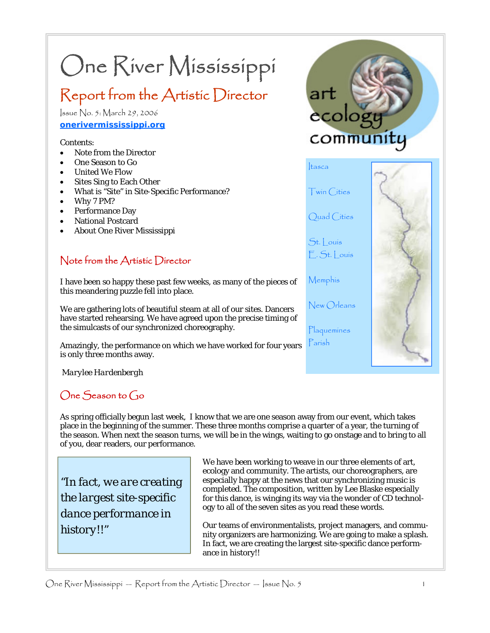# One River Mississippi

# Report from the Artistic Director

Issue No. 5: March 29, 2006 **onerivermississippi.org**

#### Contents:

- Note from the Director
- One Season to Go
- United We Flow
- Sites Sing to Each Other
- What is "Site" in Site-Specific Performance?
- Why 7 PM?
- Performance Day
- National Postcard
- About One River Mississippi

#### Note from the Artistic Director

I have been so happy these past few weeks, as many of the pieces of this meandering puzzle fell into place.

We are gathering lots of beautiful steam at all of our sites. Dancers have started rehearsing. We have agreed upon the precise timing of the simulcasts of our synchronized choreography.

Amazingly, the performance on which we have worked for four years is only three months away.

*Marylee Hardenbergh*

# One Season to Go

As spring officially begun last week, I know that we are one season away from our event, which takes place in the beginning of the summer. These three months comprise a quarter of a year, the turning of the season. When next the season turns, we will be in the wings, waiting to go onstage and to bring to all of you, dear readers, our performance.

*"In fact, we are creating the largest site-specific dance performance in history!!"* 

We have been working to weave in our three elements of art, ecology and community. The artists, our choreographers, are especially happy at the news that our synchronizing music is completed. The composition, written by Lee Blaske especially for this dance, is winging its way via the wonder of CD technology to all of the seven sites as you read these words.

Our teams of environmentalists, project managers, and community organizers are harmonizing. We are going to make a splash. In fact, we are creating the largest site-specific dance performance in history!!

One River Mississippi — Report from the Artistic Director — Issue No. 5 1



Plaquemines Parish

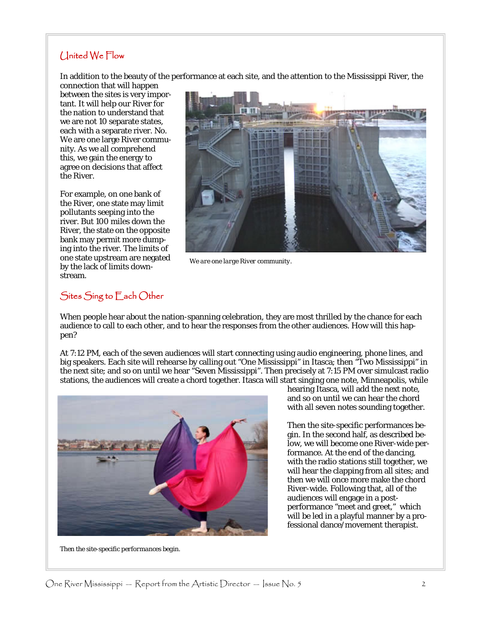#### United We Flow

In addition to the beauty of the performance at each site, and the attention to the Mississippi River, the

connection that will happen between the sites is very important. It will help our River for the nation to understand that we are not 10 separate states, each with a separate river. No. We are one large River community. As we all comprehend this, we gain the energy to agree on decisions that affect the River.

For example, on one bank of the River, one state may limit pollutants seeping into the river. But 100 miles down the River, the state on the opposite bank may permit more dumping into the river. The limits of one state upstream are negated by the lack of limits downstream.



*We are one large River community.* 

#### Sites Sing to Each Other

When people hear about the nation-spanning celebration, they are most thrilled by the chance for each audience to call to each other, and to hear the responses from the other audiences. How will this happen?

At 7:12 PM, each of the seven audiences will start connecting using audio engineering, phone lines, and big speakers. Each site will rehearse by calling out "One Mississippi" in Itasca; then "Two Mississippi" in the next site; and so on until we hear "Seven Mississippi". Then precisely at 7:15 PM over simulcast radio stations, the audiences will create a chord together. Itasca will start singing one note, Minneapolis, while



*Then the site-specific performances begin.* 

hearing Itasca, will add the next note, and so on until we can hear the chord with all seven notes sounding together.

Then the site-specific performances begin. In the second half, as described below, we will become one River-wide performance. At the end of the dancing, with the radio stations still together, we will hear the clapping from all sites; and then we will once more make the chord River-wide. Following that, all of the audiences will engage in a postperformance "meet and greet," which will be led in a playful manner by a professional dance/movement therapist.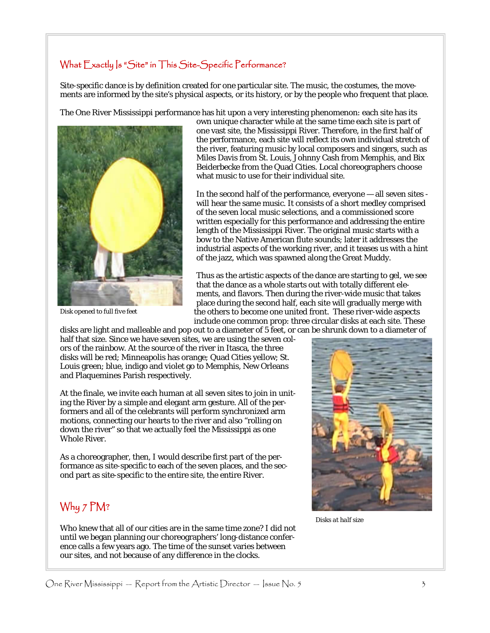#### What Exactly Is "Site" in This Site-Specific Performance?

Site-specific dance is by definition created for one particular site. The music, the costumes, the movements are informed by the site's physical aspects, or its history, or by the people who frequent that place.

The One River Mississippi performance has hit upon a very interesting phenomenon: each site has its



*Disk opened to full five feet* 

own unique character while at the same time each site is part of one vast site, the Mississippi River. Therefore, in the first half of the performance, each site will reflect its own individual stretch of the river, featuring music by local composers and singers, such as Miles Davis from St. Louis, Johnny Cash from Memphis, and Bix Beiderbecke from the Quad Cities. Local choreographers choose what music to use for their individual site.

In the second half of the performance, everyone — all seven sites will hear the same music. It consists of a short medley comprised of the seven local music selections, and a commissioned score written especially for this performance and addressing the entire length of the Mississippi River. The original music starts with a bow to the Native American flute sounds; later it addresses the industrial aspects of the working river, and it teases us with a hint of the jazz, which was spawned along the Great Muddy.

Thus as the artistic aspects of the dance are starting to gel, we see that the dance as a whole starts out with totally different elements, and flavors. Then during the river-wide music that takes place during the second half, each site will gradually merge with the others to become one united front. These river-wide aspects include one common prop: three circular disks at each site. These

disks are light and malleable and pop out to a diameter of 5 feet, or can be shrunk down to a diameter of half that size. Since we have seven sites, we are using the seven colors of the rainbow. At the source of the river in Itasca, the three disks will be red; Minneapolis has orange; Quad Cities yellow; St. Louis green; blue, indigo and violet go to Memphis, New Orleans and Plaquemines Parish respectively.

At the finale, we invite each human at all seven sites to join in uniting the River by a simple and elegant arm gesture. All of the performers and all of the celebrants will perform synchronized arm motions, connecting our hearts to the river and also "rolling on down the river" so that we actually feel the Mississippi as one Whole River.

As a choreographer, then, I would describe first part of the performance as site-specific to each of the seven places, and the second part as site-specific to the entire site, the entire River.

# Why 7 PM?

Who knew that all of our cities are in the same time zone? I did not until we began planning our choreographers' long-distance conference calls a few years ago. The time of the sunset varies between our sites, and not because of any difference in the clocks.



*Disks at half size*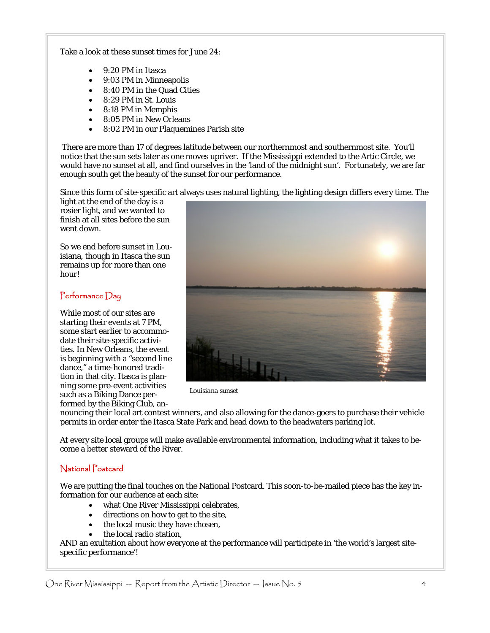Take a look at these sunset times for June 24:

- 9:20 PM in Itasca
- 9:03 PM in Minneapolis
- 8:40 PM in the Quad Cities
- 8:29 PM in St. Louis
- 8:18 PM in Memphis
- 8:05 PM in New Orleans
- 8:02 PM in our Plaquemines Parish site

 There are more than 17 of degrees latitude between our northernmost and southernmost site. You'll notice that the sun sets later as one moves upriver. If the Mississippi extended to the Artic Circle, we would have no sunset at all, and find ourselves in the 'land of the midnight sun'. Fortunately, we are far enough south get the beauty of the sunset for our performance.

Since this form of site-specific art always uses natural lighting, the lighting design differs every time. The

light at the end of the day is a rosier light, and we wanted to finish at all sites before the sun went down.

So we end before sunset in Louisiana, though in Itasca the sun remains up for more than one hour!

#### Performance Day

While most of our sites are starting their events at 7 PM, some start earlier to accommodate their site-specific activities. In New Orleans, the event is beginning with a "second line dance," a time-honored tradition in that city. Itasca is planning some pre-event activities such as a Biking Dance performed by the Biking Club, an-



*Louisiana sunset* 

nouncing their local art contest winners, and also allowing for the dance-goers to purchase their vehicle permits in order enter the Itasca State Park and head down to the headwaters parking lot.

At every site local groups will make available environmental information, including what it takes to become a better steward of the River.

#### National Postcard

We are putting the final touches on the National Postcard. This soon-to-be-mailed piece has the key information for our audience at each site:

- what One River Mississippi celebrates,
- directions on how to get to the site,
- the local music they have chosen,
- the local radio station.

AND an exultation about how everyone at the performance will participate in 'the world's largest sitespecific performance'!